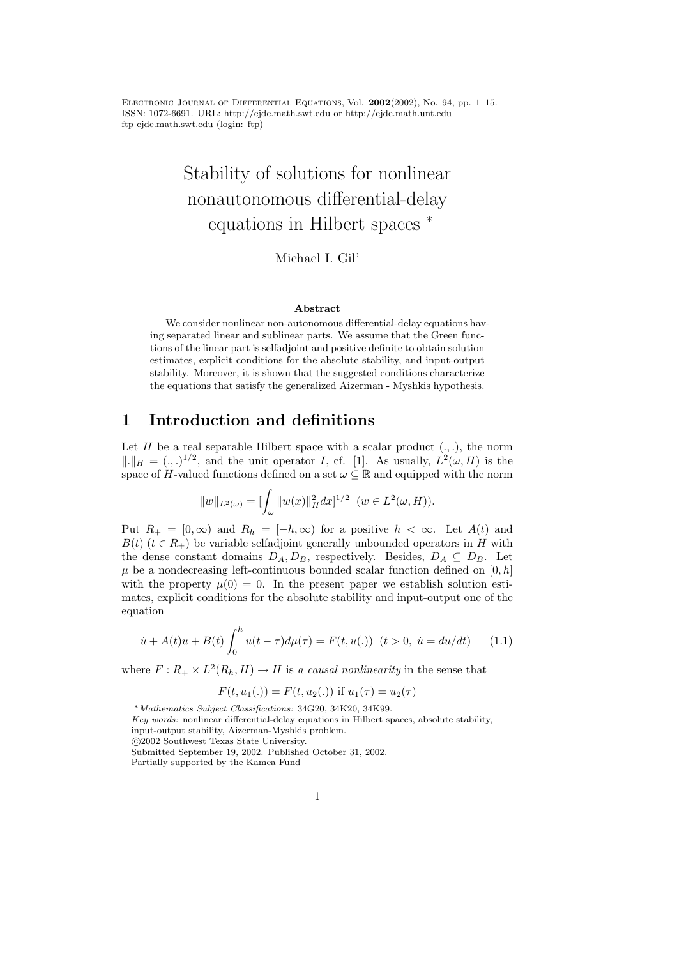ELECTRONIC JOURNAL OF DIFFERENTIAL EQUATIONS, Vol.  $2002(2002)$ , No. 94, pp. 1–15. ISSN: 1072-6691. URL: http://ejde.math.swt.edu or http://ejde.math.unt.edu ftp ejde.math.swt.edu (login: ftp)

# Stability of solutions for nonlinear nonautonomous differential-delay equations in Hilbert spaces <sup>∗</sup>

#### Michael I. Gil'

#### Abstract

We consider nonlinear non-autonomous differential-delay equations having separated linear and sublinear parts. We assume that the Green functions of the linear part is selfadjoint and positive definite to obtain solution estimates, explicit conditions for the absolute stability, and input-output stability. Moreover, it is shown that the suggested conditions characterize the equations that satisfy the generalized Aizerman - Myshkis hypothesis.

#### 1 Introduction and definitions

Let H be a real separable Hilbert space with a scalar product  $(., .)$ , the norm  $\|.\|_H = (.,.)^{1/2}$ , and the unit operator I, cf. [1]. As usually,  $L^2(\omega, H)$  is the space of H-valued functions defined on a set  $\omega \subseteq \mathbb{R}$  and equipped with the norm

$$
||w||_{L^{2}(\omega)} = \left[\int_{\omega} ||w(x)||_{H}^{2} dx\right]^{1/2} \quad (w \in L^{2}(\omega, H)).
$$

Put  $R_+ = [0, \infty)$  and  $R_h = [-h, \infty)$  for a positive  $h < \infty$ . Let  $A(t)$  and  $B(t)$  ( $t \in R_+$ ) be variable selfadjoint generally unbounded operators in H with the dense constant domains  $D_A, D_B$ , respectively. Besides,  $D_A \subseteq D_B$ . Let  $\mu$  be a nondecreasing left-continuous bounded scalar function defined on [0, h] with the property  $\mu(0) = 0$ . In the present paper we establish solution estimates, explicit conditions for the absolute stability and input-output one of the equation

$$
\dot{u} + A(t)u + B(t) \int_0^h u(t - \tau) d\mu(\tau) = F(t, u(.)) \quad (t > 0, \ \dot{u} = du/dt) \tag{1.1}
$$

where  $F: R_+ \times L^2(R_h, H) \to H$  is a causal nonlinearity in the sense that

$$
F(t, u_1(.)) = F(t, u_2(.))
$$
 if  $u_1(\tau) = u_2(\tau)$ 

<sup>∗</sup>Mathematics Subject Classifications: 34G20, 34K20, 34K99.

Key words: nonlinear differential-delay equations in Hilbert spaces, absolute stability, input-output stability, Aizerman-Myshkis problem.

c 2002 Southwest Texas State University.

Submitted September 19, 2002. Published October 31, 2002.

Partially supported by the Kamea Fund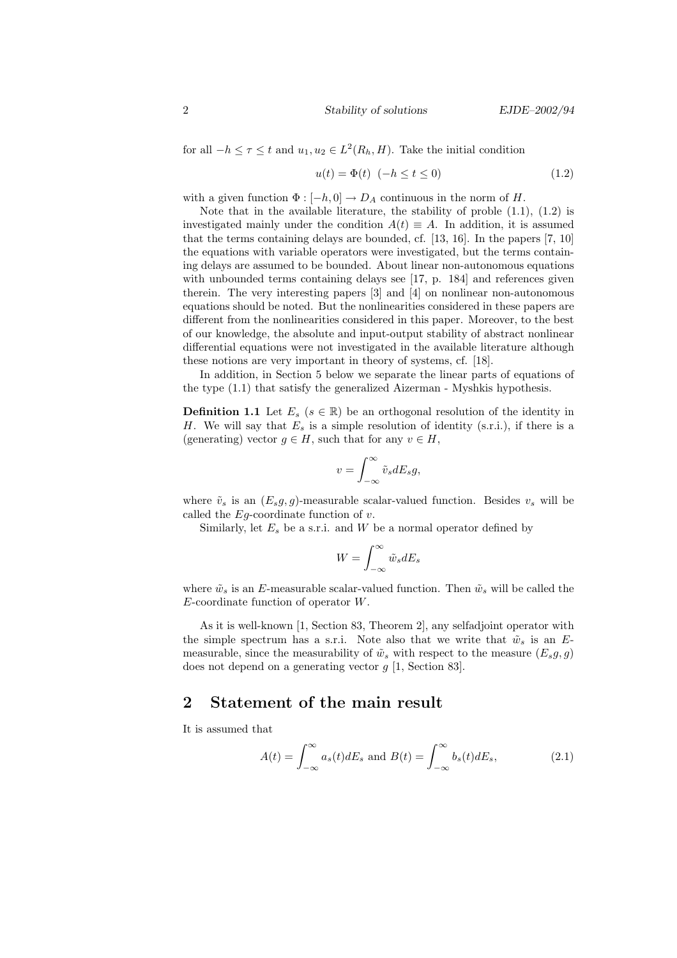for all  $-h \leq \tau \leq t$  and  $u_1, u_2 \in L^2(R_h, H)$ . Take the initial condition

$$
u(t) = \Phi(t) \quad (-h \le t \le 0)
$$
\n
$$
(1.2)
$$

with a given function  $\Phi : [-h, 0] \to D_A$  continuous in the norm of H.

Note that in the available literature, the stability of proble  $(1.1)$ ,  $(1.2)$  is investigated mainly under the condition  $A(t) \equiv A$ . In addition, it is assumed that the terms containing delays are bounded, cf. [13, 16]. In the papers [7, 10] the equations with variable operators were investigated, but the terms containing delays are assumed to be bounded. About linear non-autonomous equations with unbounded terms containing delays see [17, p. 184] and references given therein. The very interesting papers [3] and [4] on nonlinear non-autonomous equations should be noted. But the nonlinearities considered in these papers are different from the nonlinearities considered in this paper. Moreover, to the best of our knowledge, the absolute and input-output stability of abstract nonlinear differential equations were not investigated in the available literature although these notions are very important in theory of systems, cf. [18].

In addition, in Section 5 below we separate the linear parts of equations of the type (1.1) that satisfy the generalized Aizerman - Myshkis hypothesis.

**Definition 1.1** Let  $E_s$  ( $s \in \mathbb{R}$ ) be an orthogonal resolution of the identity in H. We will say that  $E_s$  is a simple resolution of identity (s.r.i.), if there is a (generating) vector  $g \in H$ , such that for any  $v \in H$ ,

$$
v = \int_{-\infty}^{\infty} \tilde{v}_s dE_s g,
$$

where  $\tilde{v}_s$  is an  $(E_s g, g)$ -measurable scalar-valued function. Besides  $v_s$  will be called the  $Eg$ -coordinate function of  $v$ .

Similarly, let  $E_s$  be a s.r.i. and W be a normal operator defined by

$$
W=\int_{-\infty}^{\infty}\tilde{w}_sdE_s
$$

where  $\tilde{w}_s$  is an E-measurable scalar-valued function. Then  $\tilde{w}_s$  will be called the  $E$ -coordinate function of operator  $W$ .

As it is well-known [1, Section 83, Theorem 2], any selfadjoint operator with the simple spectrum has a s.r.i. Note also that we write that  $\tilde{w}_s$  is an Emeasurable, since the measurability of  $\tilde{w}_s$  with respect to the measure  $(E_s g, g)$ does not depend on a generating vector g [1, Section 83].

### 2 Statement of the main result

It is assumed that

$$
A(t) = \int_{-\infty}^{\infty} a_s(t) dE_s \text{ and } B(t) = \int_{-\infty}^{\infty} b_s(t) dE_s,
$$
 (2.1)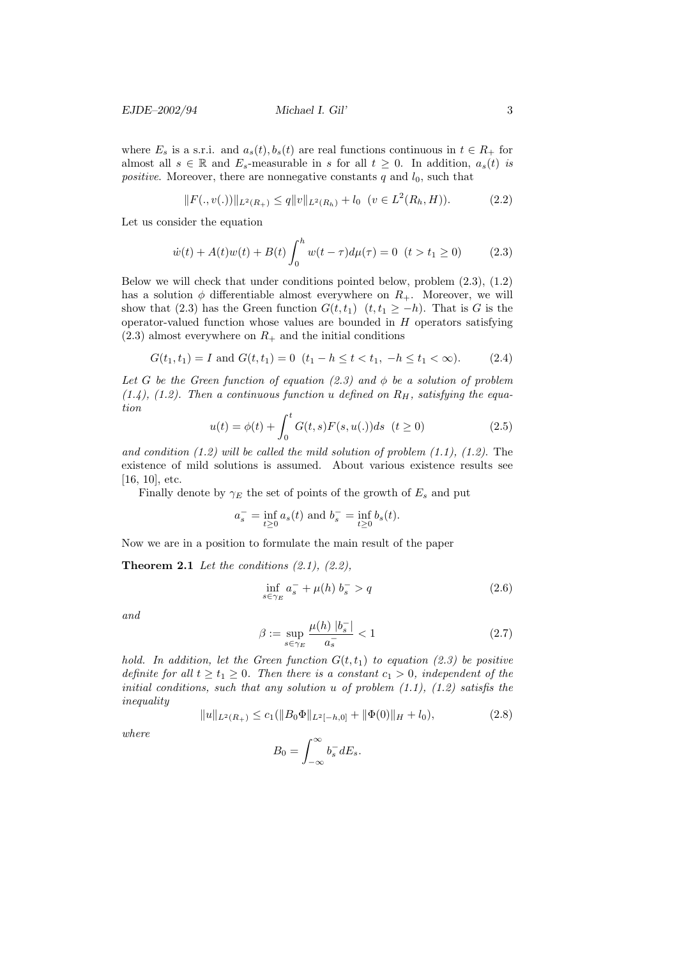where  $E_s$  is a s.r.i. and  $a_s(t)$ ,  $b_s(t)$  are real functions continuous in  $t \in R_+$  for almost all  $s \in \mathbb{R}$  and  $E_s$ -measurable in s for all  $t \geq 0$ . In addition,  $a_s(t)$  is *positive.* Moreover, there are nonnegative constants  $q$  and  $l_0$ , such that

$$
||F(.,v(.))||_{L^{2}(R_{+})} \leq q||v||_{L^{2}(R_{h})} + l_{0} \quad (v \in L^{2}(R_{h},H)).
$$
\n(2.2)

Let us consider the equation

$$
\dot{w}(t) + A(t)w(t) + B(t)\int_0^h w(t-\tau)d\mu(\tau) = 0 \ \ (t > t_1 \ge 0) \tag{2.3}
$$

Below we will check that under conditions pointed below, problem (2.3), (1.2) has a solution  $\phi$  differentiable almost everywhere on  $R_{+}$ . Moreover, we will show that (2.3) has the Green function  $G(t, t_1)$   $(t, t_1 \geq -h)$ . That is G is the operator-valued function whose values are bounded in  $H$  operators satisfying  $(2.3)$  almost everywhere on  $R_{+}$  and the initial conditions

$$
G(t_1, t_1) = I \text{ and } G(t, t_1) = 0 \ (t_1 - h \le t < t_1, -h \le t_1 < \infty). \tag{2.4}
$$

Let G be the Green function of equation  $(2.3)$  and  $\phi$  be a solution of problem  $(1.4)$ ,  $(1.2)$ . Then a continuous function u defined on  $R_H$ , satisfying the equation

$$
u(t) = \phi(t) + \int_0^t G(t, s) F(s, u(.)) ds \quad (t \ge 0)
$$
\n(2.5)

and condition (1.2) will be called the mild solution of problem  $(1.1)$ ,  $(1.2)$ . The existence of mild solutions is assumed. About various existence results see [16, 10], etc.

Finally denote by  $\gamma_E$  the set of points of the growth of  $E_s$  and put

$$
a_s^-
$$
 =  $\inf_{t \ge 0} a_s(t)$  and  $b_s^-$  =  $\inf_{t \ge 0} b_s(t)$ .

Now we are in a position to formulate the main result of the paper

**Theorem 2.1** Let the conditions  $(2.1)$ ,  $(2.2)$ ,

$$
\inf_{s \in \gamma_E} a_s^- + \mu(h) b_s^- > q \tag{2.6}
$$

and

$$
\beta := \sup_{s \in \gamma_E} \frac{\mu(h) \left| b_s^- \right|}{a_s^-} < 1 \tag{2.7}
$$

hold. In addition, let the Green function  $G(t,t_1)$  to equation (2.3) be positive definite for all  $t \geq t_1 \geq 0$ . Then there is a constant  $c_1 > 0$ , independent of the initial conditions, such that any solution  $u$  of problem  $(1.1)$ ,  $(1.2)$  satisfis the inequality

$$
||u||_{L^{2}(R_{+})} \leq c_{1}(||B_{0}\Phi||_{L^{2}[-h,0]} + ||\Phi(0)||_{H} + l_{0}),
$$
\n(2.8)

where

$$
B_0 = \int_{-\infty}^{\infty} b_s^- dE_s.
$$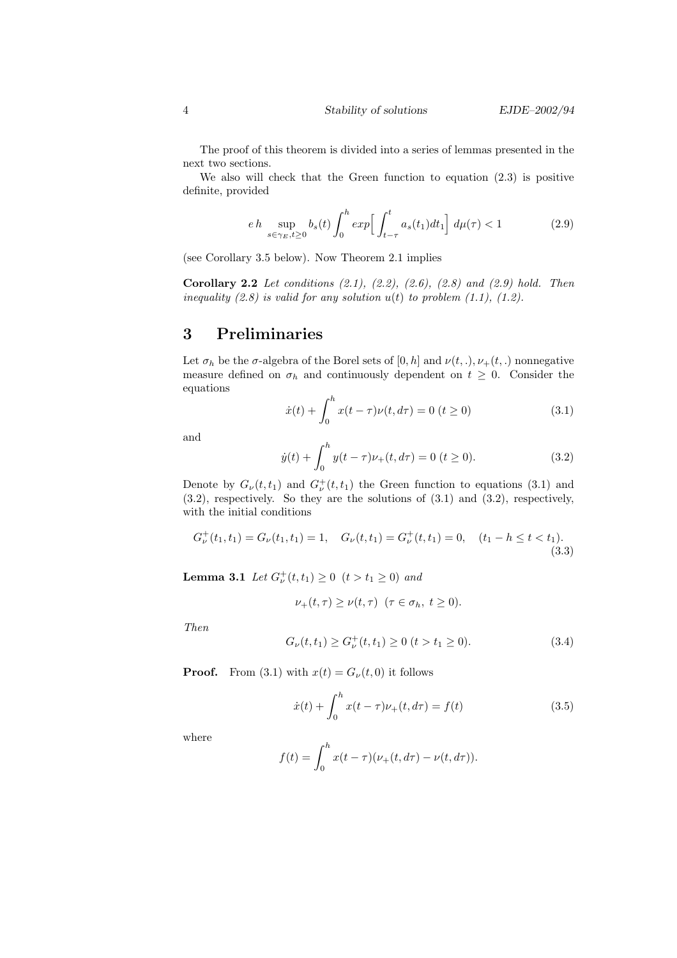The proof of this theorem is divided into a series of lemmas presented in the next two sections.

We also will check that the Green function to equation (2.3) is positive definite, provided

$$
eh \sup_{s \in \gamma_E, t \ge 0} b_s(t) \int_0^h \exp\left[\int_{t-\tau}^t a_s(t_1) dt_1\right] d\mu(\tau) < 1 \tag{2.9}
$$

(see Corollary 3.5 below). Now Theorem 2.1 implies

**Corollary 2.2** Let conditions  $(2.1)$ ,  $(2.2)$ ,  $(2.6)$ ,  $(2.8)$  and  $(2.9)$  hold. Then inequality (2.8) is valid for any solution  $u(t)$  to problem (1.1), (1.2).

#### 3 Preliminaries

Let  $\sigma_h$  be the  $\sigma$ -algebra of the Borel sets of  $[0, h]$  and  $\nu(t, .), \nu_+(t, .)$  nonnegative measure defined on  $\sigma_h$  and continuously dependent on  $t \geq 0$ . Consider the equations

$$
\dot{x}(t) + \int_0^h x(t - \tau)\nu(t, d\tau) = 0 \ (t \ge 0)
$$
\n(3.1)

and

$$
\dot{y}(t) + \int_0^h y(t - \tau)\nu_+(t, d\tau) = 0 \ (t \ge 0).
$$
 (3.2)

Denote by  $G_{\nu}(t,t_1)$  and  $G_{\nu}^+(t,t_1)$  the Green function to equations (3.1) and (3.2), respectively. So they are the solutions of (3.1) and (3.2), respectively, with the initial conditions

$$
G^{\dagger}_{\nu}(t_1, t_1) = G_{\nu}(t_1, t_1) = 1, \quad G_{\nu}(t, t_1) = G^{\dagger}_{\nu}(t, t_1) = 0, \quad (t_1 - h \le t < t_1). \tag{3.3}
$$

**Lemma 3.1** Let  $G_{\nu}^{+}(t,t_1) \ge 0$   $(t > t_1 \ge 0)$  and

$$
\nu_+(t,\tau) \ge \nu(t,\tau) \quad (\tau \in \sigma_h, \ t \ge 0).
$$

Then

$$
G_{\nu}(t, t_1) \ge G_{\nu}^+(t, t_1) \ge 0 \ (t > t_1 \ge 0). \tag{3.4}
$$

**Proof.** From (3.1) with  $x(t) = G_{\nu}(t, 0)$  it follows

$$
\dot{x}(t) + \int_0^h x(t - \tau)\nu_+(t, d\tau) = f(t)
$$
\n(3.5)

where

$$
f(t) = \int_0^h x(t - \tau)(\nu_+(t, d\tau) - \nu(t, d\tau)).
$$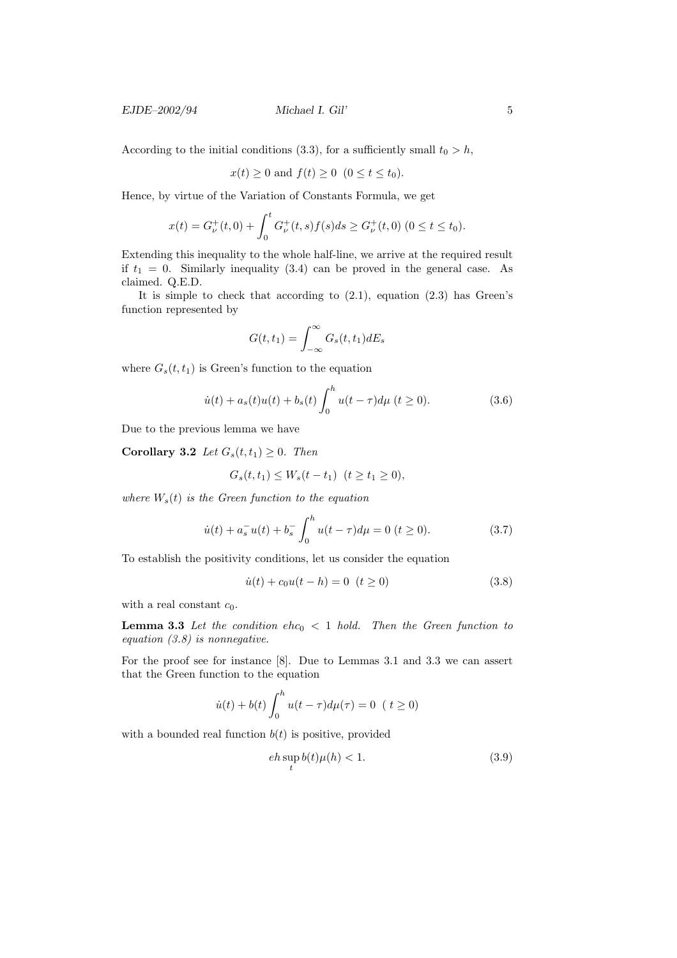$EJDE-2002/94$  Michael I. Gil' 5

According to the initial conditions (3.3), for a sufficiently small  $t_0 > h$ ,

$$
x(t) \ge 0 \text{ and } f(t) \ge 0 \quad (0 \le t \le t_0).
$$

Hence, by virtue of the Variation of Constants Formula, we get

$$
x(t) = G^+_{\nu}(t,0) + \int_0^t G^+_{\nu}(t,s)f(s)ds \ge G^+_{\nu}(t,0) \ (0 \le t \le t_0).
$$

Extending this inequality to the whole half-line, we arrive at the required result if  $t_1 = 0$ . Similarly inequality (3.4) can be proved in the general case. As claimed. Q.E.D.

It is simple to check that according to (2.1), equation (2.3) has Green's function represented by

$$
G(t,t_1) = \int_{-\infty}^{\infty} G_s(t,t_1) dE_s
$$

where  $G_s(t, t_1)$  is Green's function to the equation

$$
\dot{u}(t) + a_s(t)u(t) + b_s(t)\int_0^h u(t-\tau)d\mu \ (t \ge 0).
$$
 (3.6)

Due to the previous lemma we have

Corollary 3.2 Let  $G_s(t,t_1) \geq 0$ . Then

$$
G_s(t, t_1) \le W_s(t - t_1) \ \ (t \ge t_1 \ge 0),
$$

where  $W_s(t)$  is the Green function to the equation

$$
\dot{u}(t) + a_s^- u(t) + b_s^- \int_0^h u(t - \tau) d\mu = 0 \ (t \ge 0). \tag{3.7}
$$

To establish the positivity conditions, let us consider the equation

$$
\dot{u}(t) + c_0 u(t - h) = 0 \quad (t \ge 0)
$$
\n(3.8)

with a real constant  $c_0$ .

**Lemma 3.3** Let the condition ehc<sub>0</sub>  $\lt$  1 hold. Then the Green function to equation  $(3.8)$  is nonnegative.

For the proof see for instance [8]. Due to Lemmas 3.1 and 3.3 we can assert that the Green function to the equation

$$
\dot{u}(t) + b(t) \int_0^h u(t - \tau) d\mu(\tau) = 0 \ \ (t \ge 0)
$$

with a bounded real function  $b(t)$  is positive, provided

$$
eh \sup_{t} b(t)\mu(h) < 1. \tag{3.9}
$$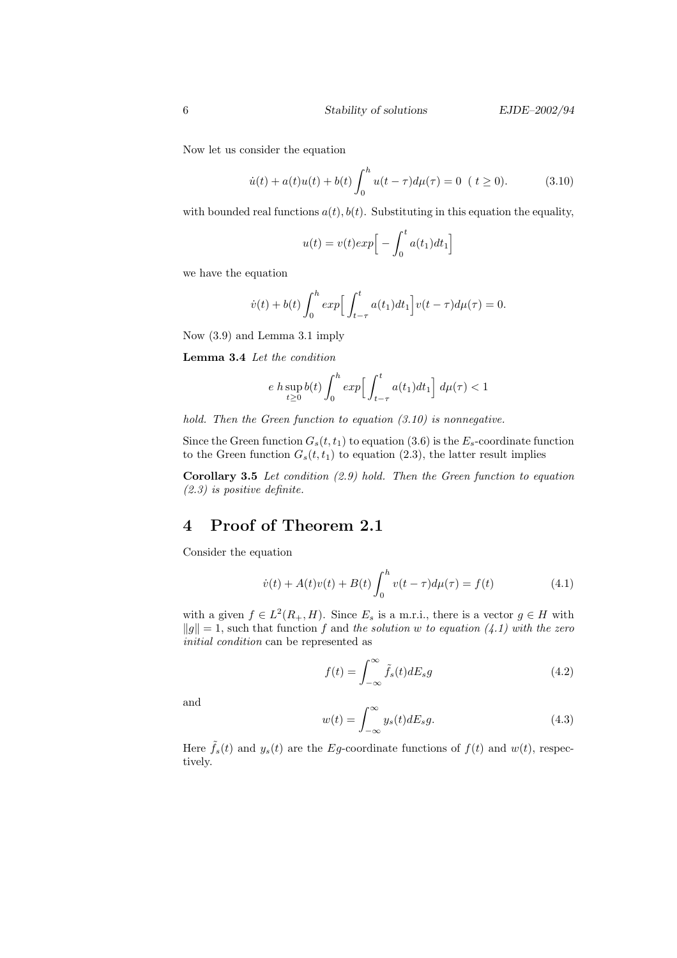Now let us consider the equation

$$
\dot{u}(t) + a(t)u(t) + b(t)\int_0^h u(t-\tau)d\mu(\tau) = 0 \ \ (t \ge 0).
$$
 (3.10)

with bounded real functions  $a(t)$ ,  $b(t)$ . Substituting in this equation the equality,

$$
u(t) = v(t)exp\Big[-\int_0^t a(t_1)dt_1\Big]
$$

we have the equation

$$
\dot{v}(t) + b(t) \int_0^h exp\Big[\int_{t-\tau}^t a(t_1)dt_1\Big]v(t-\tau)d\mu(\tau) = 0.
$$

Now (3.9) and Lemma 3.1 imply

Lemma 3.4 Let the condition

$$
e \; h \sup_{t \ge 0} b(t) \int_0^h \exp\Bigl[\int_{t-\tau}^t a(t_1) dt_1\Bigr] \; d\mu(\tau) < 1
$$

hold. Then the Green function to equation  $(3.10)$  is nonnegative.

Since the Green function  $G_s(t, t_1)$  to equation (3.6) is the  $E_s$ -coordinate function to the Green function  $G_s(t, t_1)$  to equation (2.3), the latter result implies

Corollary 3.5 Let condition  $(2.9)$  hold. Then the Green function to equation (2.3) is positive definite.

### 4 Proof of Theorem 2.1

Consider the equation

$$
\dot{v}(t) + A(t)v(t) + B(t) \int_0^h v(t - \tau) d\mu(\tau) = f(t)
$$
\n(4.1)

with a given  $f \in L^2(R_+, H)$ . Since  $E_s$  is a m.r.i., there is a vector  $g \in H$  with  $||g|| = 1$ , such that function f and the solution w to equation (4.1) with the zero initial condition can be represented as

$$
f(t) = \int_{-\infty}^{\infty} \tilde{f}_s(t) dE_s g \tag{4.2}
$$

and

$$
w(t) = \int_{-\infty}^{\infty} y_s(t) dE_s g.
$$
 (4.3)

Here  $\tilde{f}_s(t)$  and  $y_s(t)$  are the Eg-coordinate functions of  $f(t)$  and  $w(t)$ , respectively.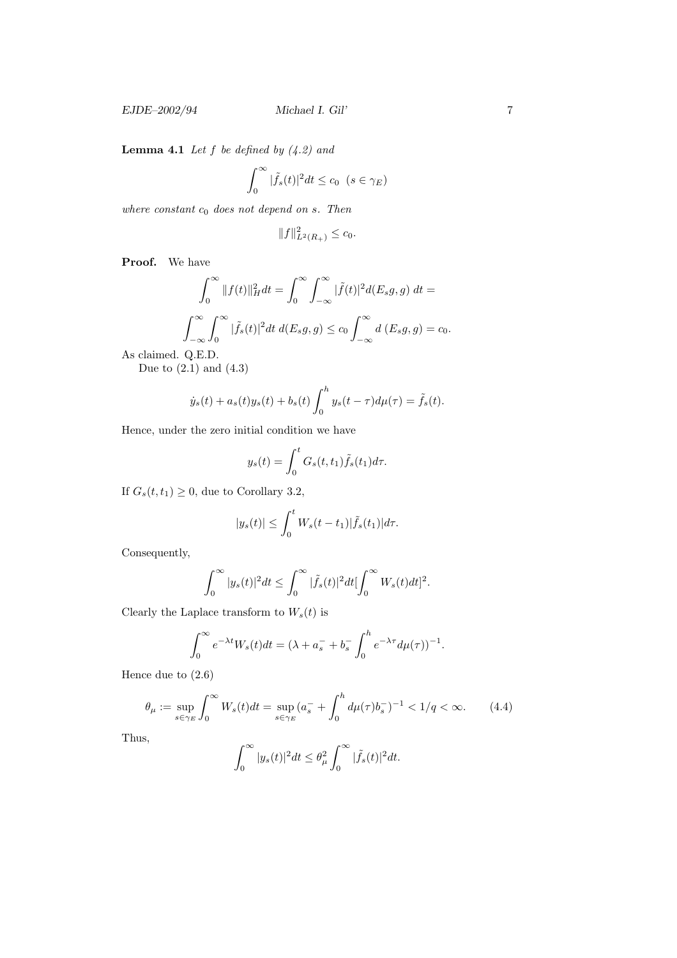**Lemma 4.1** Let  $f$  be defined by  $(4.2)$  and

$$
\int_0^\infty |\tilde{f}_s(t)|^2 dt \le c_0 \ \ (s \in \gamma_E)
$$

where constant  $c_0$  does not depend on s. Then

$$
||f||_{L^{2}(R_{+})}^{2} \leq c_{0}.
$$

Proof. We have

$$
\int_0^\infty \|f(t)\|_H^2 dt = \int_0^\infty \int_{-\infty}^\infty |\tilde{f}(t)|^2 d(E_s g, g) dt =
$$
  

$$
\int_{-\infty}^\infty \int_0^\infty |\tilde{f}_s(t)|^2 dt d(E_s g, g) \le c_0 \int_{-\infty}^\infty d(E_s g, g) = c_0.
$$

As claimed. Q.E.D.

Due to  $(2.1)$  and  $(4.3)$ 

$$
\dot{y}_s(t) + a_s(t)y_s(t) + b_s(t) \int_0^h y_s(t - \tau) d\mu(\tau) = \tilde{f}_s(t).
$$

Hence, under the zero initial condition we have

$$
y_s(t) = \int_0^t G_s(t, t_1) \tilde{f}_s(t_1) d\tau.
$$

If  $G_s(t,t_1) \geq 0$ , due to Corollary 3.2,

$$
|y_s(t)| \leq \int_0^t W_s(t-t_1)|\tilde{f}_s(t_1)|d\tau.
$$

Consequently,

$$
\int_0^\infty |y_s(t)|^2 dt \leq \int_0^\infty |\tilde{f}_s(t)|^2 dt \left[\int_0^\infty W_s(t)dt\right]^2.
$$

Clearly the Laplace transform to  $W_s(t)$  is

$$
\int_0^\infty e^{-\lambda t} W_s(t) dt = (\lambda + a_s^- + b_s^- \int_0^h e^{-\lambda \tau} d\mu(\tau))^{-1}
$$

Hence due to (2.6)

$$
\theta_{\mu} := \sup_{s \in \gamma_E} \int_0^{\infty} W_s(t) dt = \sup_{s \in \gamma_E} (a_s^- + \int_0^h d\mu(\tau) b_s^-)^{-1} < 1/q < \infty. \tag{4.4}
$$

.

Thus,

$$
\int_0^\infty |y_s(t)|^2 dt \leq \theta_\mu^2 \int_0^\infty |\tilde{f}_s(t)|^2 dt.
$$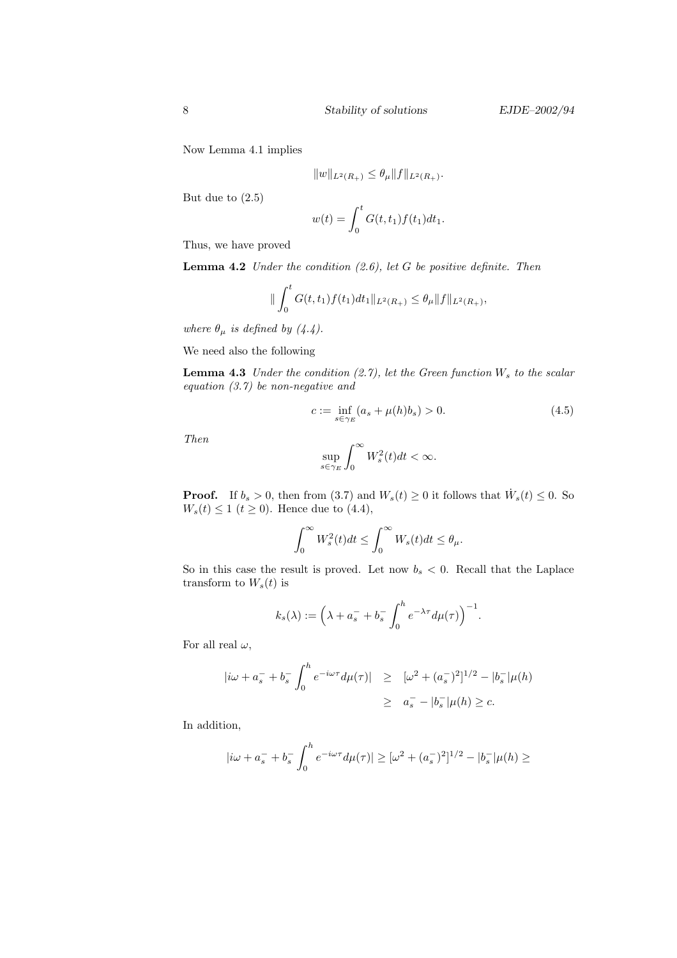Now Lemma 4.1 implies

$$
||w||_{L^2(R_+)} \leq \theta_\mu ||f||_{L^2(R_+)}.
$$

But due to (2.5)

$$
w(t) = \int_0^t G(t, t_1) f(t_1) dt_1.
$$

Thus, we have proved

**Lemma 4.2** Under the condition  $(2.6)$ , let G be positive definite. Then

$$
\|\int_0^t G(t,t_1)f(t_1)dt_1\|_{L^2(R_+)} \leq \theta_\mu \|f\|_{L^2(R_+)},
$$

where  $\theta_{\mu}$  is defined by (4.4).

We need also the following

**Lemma 4.3** Under the condition  $(2.7)$ , let the Green function  $W_s$  to the scalar equation (3.7) be non-negative and

$$
c := \inf_{s \in \gamma_E} (a_s + \mu(h)b_s) > 0.
$$
 (4.5)

Then

$$
\sup_{s\in\gamma_E}\int_0^\infty W^2_s(t)dt<\infty.
$$

**Proof.** If  $b_s > 0$ , then from (3.7) and  $W_s(t) \ge 0$  it follows that  $\dot{W}_s(t) \le 0$ . So  $W_s(t) \le 1$  ( $t \ge 0$ ). Hence due to (4.4),

$$
\int_0^\infty W_s^2(t)dt \le \int_0^\infty W_s(t)dt \le \theta_\mu.
$$

So in this case the result is proved. Let now  $b_s < 0$ . Recall that the Laplace transform to  $W_s(t)$  is

$$
k_s(\lambda) := \left(\lambda + a_s^- + b_s^- \int_0^h e^{-\lambda \tau} d\mu(\tau)\right)^{-1}.
$$

For all real  $\omega,$ 

$$
|i\omega + a_s^- + b_s^- \int_0^h e^{-i\omega \tau} d\mu(\tau)| \geq [\omega^2 + (a_s^-)^2]^{1/2} - |b_s^-|\mu(h)
$$
  

$$
\geq a_s^- - |b_s^-|\mu(h) \geq c.
$$

In addition,

$$
|i\omega + a_s^- + b_s^- \int_0^h e^{-i\omega \tau} d\mu(\tau)| \geq [\omega^2 + (a_s^-)^2]^{1/2} - |b_s^-| \mu(h) \geq
$$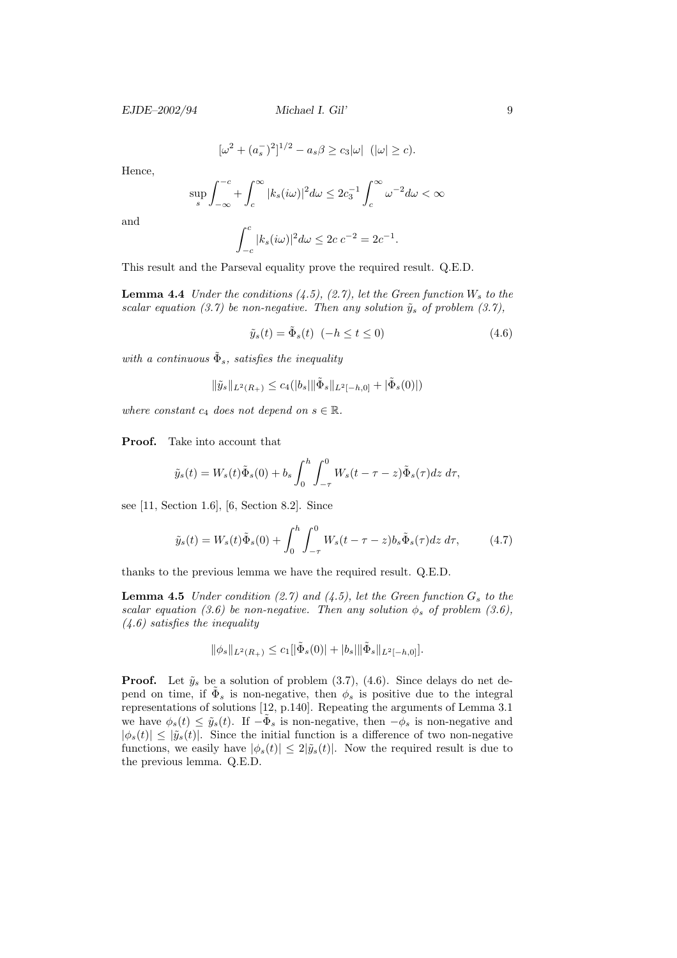EJDE–2002/94 Michael I. Gil' 9

$$
[\omega^2 + (a_s^{-})^2]^{1/2} - a_s \beta \ge c_3 |\omega| \ \ (|\omega| \ge c).
$$

Hence,

$$
\sup_{s} \int_{-\infty}^{-c} + \int_{c}^{\infty} |k_s(i\omega)|^2 d\omega \le 2c_3^{-1} \int_{c}^{\infty} \omega^{-2} d\omega < \infty
$$

and

$$
\int_{-c}^{c} |k_s(i\omega)|^2 d\omega \le 2c \, c^{-2} = 2c^{-1}.
$$

This result and the Parseval equality prove the required result. Q.E.D.

**Lemma 4.4** Under the conditions  $(4.5)$ ,  $(2.7)$ , let the Green function  $W_s$  to the scalar equation (3.7) be non-negative. Then any solution  $\tilde{y}_s$  of problem (3.7),

$$
\tilde{y}_s(t) = \tilde{\Phi}_s(t) \quad (-h \le t \le 0)
$$
\n
$$
(4.6)
$$

with a continuous  $\tilde{\Phi}_s$ , satisfies the inequality

$$
\|\tilde{y}_s\|_{L^2(R_+)} \leq c_4(|b_s| \|\tilde{\Phi}_s\|_{L^2[-h,0]} + |\tilde{\Phi}_s(0)|)
$$

where constant  $c_4$  does not depend on  $s \in \mathbb{R}$ .

Proof. Take into account that

$$
\tilde{y}_s(t) = W_s(t)\tilde{\Phi}_s(0) + b_s \int_0^h \int_{-\tau}^0 W_s(t - \tau - z)\tilde{\Phi}_s(\tau)dz d\tau,
$$

see [11, Section 1.6], [6, Section 8.2]. Since

$$
\tilde{y}_s(t) = W_s(t)\tilde{\Phi}_s(0) + \int_0^h \int_{-\tau}^0 W_s(t - \tau - z)b_s \tilde{\Phi}_s(\tau)dz d\tau, \tag{4.7}
$$

thanks to the previous lemma we have the required result. Q.E.D.

**Lemma 4.5** Under condition (2.7) and (4.5), let the Green function  $G_s$  to the scalar equation (3.6) be non-negative. Then any solution  $\phi_s$  of problem (3.6),  $(4.6)$  satisfies the inequality

$$
\|\phi_s\|_{L^2(R_+)} \leq c_1\|\tilde{\Phi}_s(0)\| + |b_s|\|\tilde{\Phi}_s\|_{L^2[-h,0]}.
$$

**Proof.** Let  $\tilde{y}_s$  be a solution of problem  $(3.7)$ ,  $(4.6)$ . Since delays do net depend on time, if  $\tilde{\Phi}_s$  is non-negative, then  $\phi_s$  is positive due to the integral representations of solutions [12, p.140]. Repeating the arguments of Lemma 3.1 we have  $\phi_s(t) \leq \tilde{y}_s(t)$ . If  $-\tilde{\Phi}_s$  is non-negative, then  $-\phi_s$  is non-negative and  $|\phi_s(t)| \leq |\tilde{y}_s(t)|$ . Since the initial function is a difference of two non-negative functions, we easily have  $|\phi_s(t)| \leq 2|\tilde{y}_s(t)|$ . Now the required result is due to the previous lemma. Q.E.D.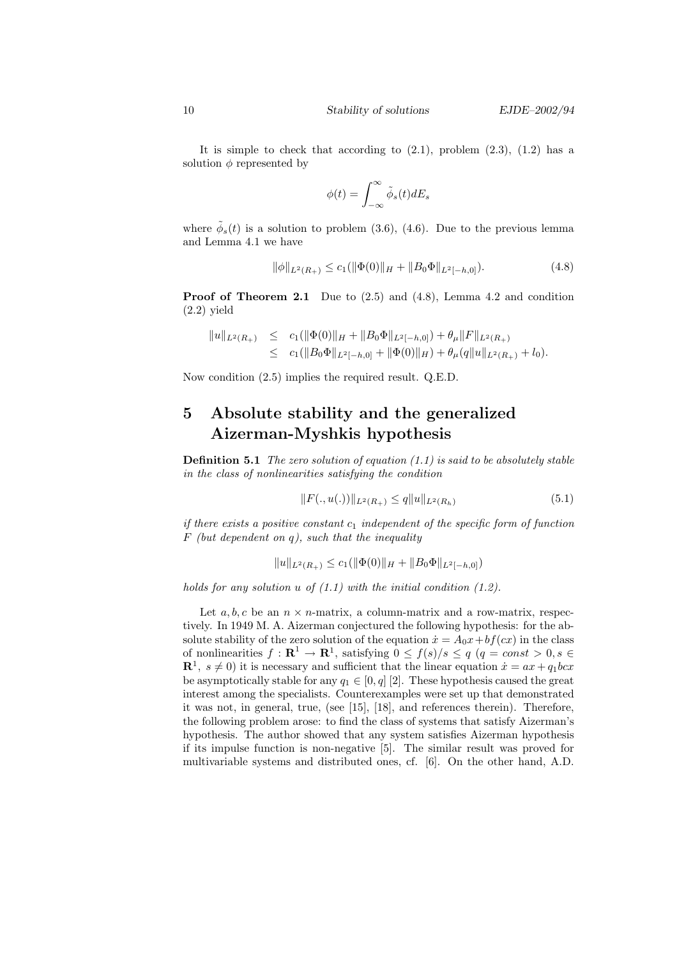It is simple to check that according to  $(2.1)$ , problem  $(2.3)$ ,  $(1.2)$  has a solution  $\phi$  represented by

$$
\phi(t) = \int_{-\infty}^{\infty} \tilde{\phi}_s(t) dE_s
$$

where  $\tilde{\phi}_s(t)$  is a solution to problem (3.6), (4.6). Due to the previous lemma and Lemma 4.1 we have

$$
\|\phi\|_{L^2(R_+)} \le c_1(\|\Phi(0)\|_H + \|B_0\Phi\|_{L^2[-h,0]}).
$$
\n(4.8)

**Proof of Theorem 2.1** Due to  $(2.5)$  and  $(4.8)$ , Lemma 4.2 and condition  $(2.2)$  yield

$$
\begin{array}{rcl}\|u\|_{L^{2}(R_{+})}&\leq&c_{1}(\|\Phi(0)\|_{H}+\|B_{0}\Phi\|_{L^{2}[-h,0]})+\theta_{\mu}\|F\|_{L^{2}(R_{+})}\\&\leq&c_{1}(\|B_{0}\Phi\|_{L^{2}[-h,0]}+\|\Phi(0)\|_{H})+\theta_{\mu}(q\|u\|_{L^{2}(R_{+})}+l_{0}).\end{array}
$$

Now condition (2.5) implies the required result. Q.E.D.

## 5 Absolute stability and the generalized Aizerman-Myshkis hypothesis

**Definition 5.1** The zero solution of equation  $(1.1)$  is said to be absolutely stable in the class of nonlinearities satisfying the condition

$$
||F(.,u(.))||_{L^{2}(R_{+})} \leq q||u||_{L^{2}(R_{h})}
$$
\n(5.1)

if there exists a positive constant  $c_1$  independent of the specific form of function  $F$  (but dependent on q), such that the inequality

$$
||u||_{L^2(R_+)} \le c_1(||\Phi(0)||_H + ||B_0\Phi||_{L^2[-h,0]})
$$

holds for any solution  $u$  of  $(1.1)$  with the initial condition  $(1.2)$ .

Let  $a, b, c$  be an  $n \times n$ -matrix, a column-matrix and a row-matrix, respectively. In 1949 M. A. Aizerman conjectured the following hypothesis: for the absolute stability of the zero solution of the equation  $\dot{x} = A_0x + bf(cx)$  in the class of nonlinearities  $f: \mathbf{R}^1 \to \mathbf{R}^1$ , satisfying  $0 \leq f(s)/s \leq q$   $(q = const > 0, s \in$  $\mathbb{R}^1$ ,  $s \neq 0$ ) it is necessary and sufficient that the linear equation  $\dot{x} = ax + q_1bcx$ be asymptotically stable for any  $q_1 \in [0, q]$  [2]. These hypothesis caused the great interest among the specialists. Counterexamples were set up that demonstrated it was not, in general, true, (see [15], [18], and references therein). Therefore, the following problem arose: to find the class of systems that satisfy Aizerman's hypothesis. The author showed that any system satisfies Aizerman hypothesis if its impulse function is non-negative [5]. The similar result was proved for multivariable systems and distributed ones, cf. [6]. On the other hand, A.D.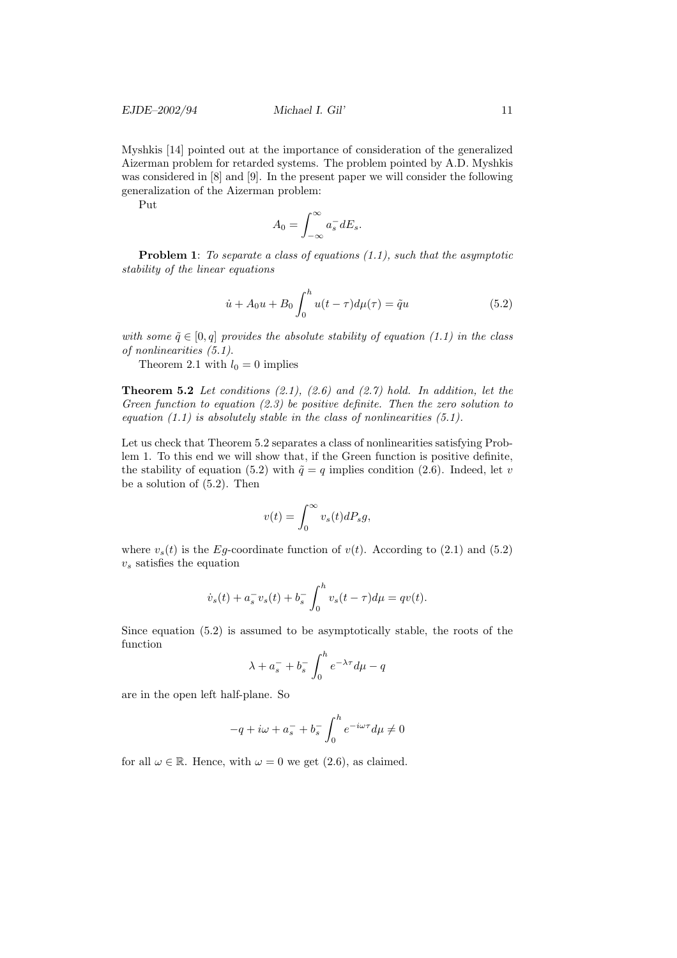Myshkis [14] pointed out at the importance of consideration of the generalized Aizerman problem for retarded systems. The problem pointed by A.D. Myshkis was considered in [8] and [9]. In the present paper we will consider the following generalization of the Aizerman problem:

Put

$$
A_0 = \int_{-\infty}^{\infty} a_s^- dE_s.
$$

**Problem 1:** To separate a class of equations  $(1.1)$ , such that the asymptotic stability of the linear equations

$$
\dot{u} + A_0 u + B_0 \int_0^h u(t - \tau) d\mu(\tau) = \tilde{q}u \tag{5.2}
$$

with some  $\tilde{q} \in [0, q]$  provides the absolute stability of equation (1.1) in the class of nonlinearities (5.1).

Theorem 2.1 with  $l_0 = 0$  implies

**Theorem 5.2** Let conditions  $(2.1)$ ,  $(2.6)$  and  $(2.7)$  hold. In addition, let the Green function to equation (2.3) be positive definite. Then the zero solution to equation  $(1.1)$  is absolutely stable in the class of nonlinearities  $(5.1)$ .

Let us check that Theorem 5.2 separates a class of nonlinearities satisfying Problem 1. To this end we will show that, if the Green function is positive definite, the stability of equation (5.2) with  $\tilde{q} = q$  implies condition (2.6). Indeed, let v be a solution of (5.2). Then

$$
v(t) = \int_0^\infty v_s(t) dP_s g,
$$

where  $v_s(t)$  is the Eg-coordinate function of  $v(t)$ . According to (2.1) and (5.2)  $v<sub>s</sub>$  satisfies the equation

$$
\dot{v}_s(t) + a_s^- v_s(t) + b_s^- \int_0^h v_s(t - \tau) d\mu = qv(t).
$$

Since equation (5.2) is assumed to be asymptotically stable, the roots of the function

$$
\lambda + a_s^- + b_s^- \int_0^h e^{-\lambda \tau} d\mu - q
$$

are in the open left half-plane. So

$$
-q+i\omega+a_s^-+b_s^-\int_0^he^{-i\omega\tau}d\mu\neq 0
$$

for all  $\omega \in \mathbb{R}$ . Hence, with  $\omega = 0$  we get (2.6), as claimed.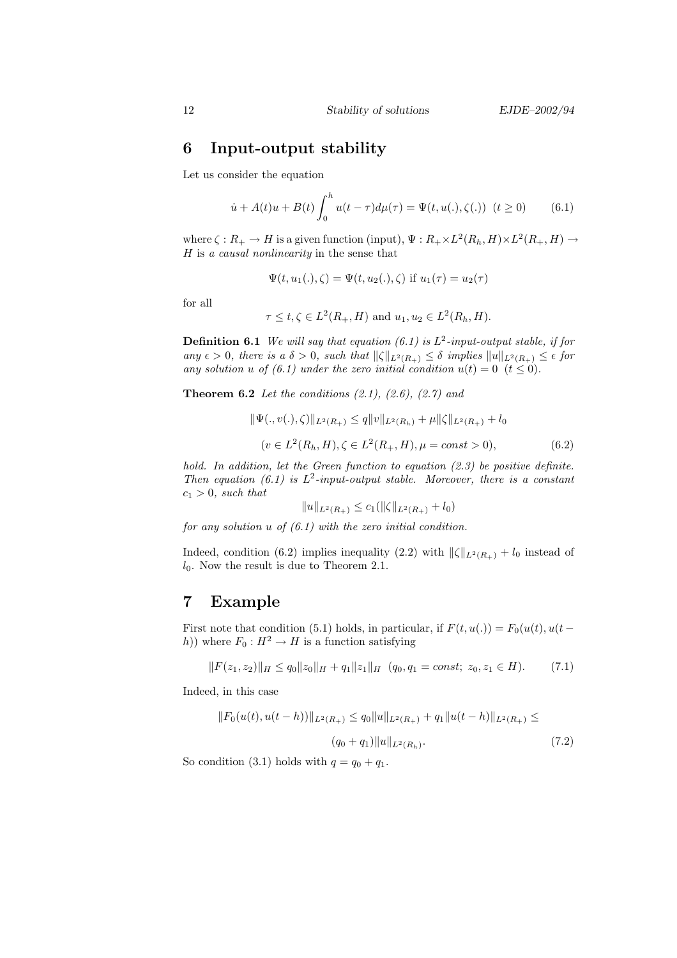### 6 Input-output stability

Let us consider the equation

$$
\dot{u} + A(t)u + B(t) \int_0^h u(t - \tau) d\mu(\tau) = \Psi(t, u(.), \zeta(.)) \quad (t \ge 0)
$$
 (6.1)

where  $\zeta: R_+ \to H$  is a given function (input),  $\Psi: R_+ \times L^2(R_h, H) \times L^2(R_+, H) \to$ H is a causal nonlinearity in the sense that

$$
\Psi(t, u_1(.), \zeta) = \Psi(t, u_2(.), \zeta) \text{ if } u_1(\tau) = u_2(\tau)
$$

for all

$$
\tau \leq t, \zeta \in L^2(R_+, H)
$$
 and  $u_1, u_2 \in L^2(R_h, H)$ .

**Definition 6.1** We will say that equation (6.1) is  $L^2$ -input-output stable, if for any  $\epsilon > 0$ , there is a  $\delta > 0$ , such that  $\|\zeta\|_{L^2(R_+)} \leq \delta$  implies  $\|u\|_{L^2(R_+)} \leq \epsilon$  for any solution u of (6.1) under the zero initial condition  $u(t) = 0$   $(t \leq 0)$ .

**Theorem 6.2** Let the conditions  $(2.1)$ ,  $(2.6)$ ,  $(2.7)$  and

$$
\|\Psi(.,v(.),\zeta)\|_{L^2(R_+)} \le q\|v\|_{L^2(R_h)} + \mu\|\zeta\|_{L^2(R_+)} + l_0
$$
  
( $v \in L^2(R_h, H), \zeta \in L^2(R_+, H), \mu = const > 0$ ), (6.2)

hold. In addition, let the Green function to equation  $(2.3)$  be positive definite. Then equation (6.1) is  $L^2$ -input-output stable. Moreover, there is a constant  $c_1 > 0$ , such that

$$
||u||_{L^2(R_+)} \le c_1(||\zeta||_{L^2(R_+)} + l_0)
$$

for any solution  $u$  of  $(6.1)$  with the zero initial condition.

Indeed, condition (6.2) implies inequality (2.2) with  $\|\zeta\|_{L^2(R_+)} + l_0$  instead of  $l_0$ . Now the result is due to Theorem 2.1.

#### 7 Example

First note that condition (5.1) holds, in particular, if  $F(t, u(.)) = F_0(u(t), u(t$ h)) where  $F_0 : H^2 \to H$  is a function satisfying

$$
||F(z_1, z_2)||_H \le q_0 ||z_0||_H + q_1 ||z_1||_H \quad (q_0, q_1 = const; \ z_0, z_1 \in H). \tag{7.1}
$$

Indeed, in this case

$$
||F_0(u(t), u(t-h))||_{L^2(R_+)} \le q_0 ||u||_{L^2(R_+)} + q_1 ||u(t-h)||_{L^2(R_+)} \le
$$
  
(q<sub>0</sub> + q<sub>1</sub>) ||u||\_{L^2(R\_h)}.(7.2)

So condition (3.1) holds with  $q = q_0 + q_1$ .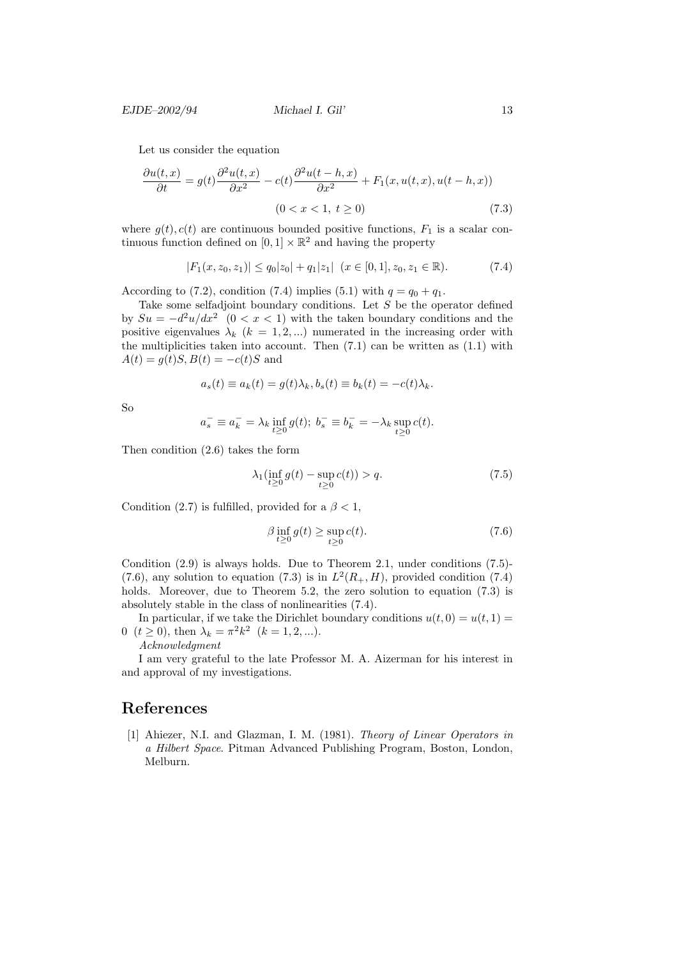EJDE–2002/94 Michael I. Gil' 13

Let us consider the equation

$$
\frac{\partial u(t,x)}{\partial t} = g(t) \frac{\partial^2 u(t,x)}{\partial x^2} - c(t) \frac{\partial^2 u(t-h,x)}{\partial x^2} + F_1(x, u(t,x), u(t-h,x))
$$
  
(0 < x < 1, t \ge 0) (7.3)

where  $g(t)$ ,  $c(t)$  are continuous bounded positive functions,  $F_1$  is a scalar continuous function defined on  $[0,1] \times \mathbb{R}^2$  and having the property

$$
|F_1(x, z_0, z_1)| \le q_0 |z_0| + q_1 |z_1| \ (x \in [0, 1], z_0, z_1 \in \mathbb{R}). \tag{7.4}
$$

According to (7.2), condition (7.4) implies (5.1) with  $q = q_0 + q_1$ .

Take some selfadjoint boundary conditions. Let S be the operator defined by  $Su = -d^2u/dx^2$  (0 < x < 1) with the taken boundary conditions and the positive eigenvalues  $\lambda_k$  ( $k = 1, 2, ...$ ) numerated in the increasing order with the multiplicities taken into account. Then  $(7.1)$  can be written as  $(1.1)$  with  $A(t) = g(t)S, B(t) = -c(t)S$  and

$$
a_s(t) \equiv a_k(t) = g(t)\lambda_k, b_s(t) \equiv b_k(t) = -c(t)\lambda_k.
$$

So

$$
a_s^- \equiv a_k^- = \lambda_k \inf_{t \ge 0} g(t); b_s^- \equiv b_k^- = -\lambda_k \sup_{t \ge 0} c(t).
$$

Then condition (2.6) takes the form

$$
\lambda_1(\inf_{t\geq 0} g(t) - \sup_{t\geq 0} c(t)) > q.
$$
\n
$$
(7.5)
$$

Condition (2.7) is fulfilled, provided for a  $\beta < 1$ ,

$$
\beta \inf_{t \ge 0} g(t) \ge \sup_{t \ge 0} c(t). \tag{7.6}
$$

Condition (2.9) is always holds. Due to Theorem 2.1, under conditions (7.5)- (7.6), any solution to equation (7.3) is in  $L^2(R_+, H)$ , provided condition (7.4) holds. Moreover, due to Theorem 5.2, the zero solution to equation  $(7.3)$  is absolutely stable in the class of nonlinearities (7.4).

In particular, if we take the Dirichlet boundary conditions  $u(t, 0) = u(t, 1) =$ 0  $(t \ge 0)$ , then  $\lambda_k = \pi^2 k^2$   $(k = 1, 2, ...).$ 

Acknowledgment

I am very grateful to the late Professor M. A. Aizerman for his interest in and approval of my investigations.

#### References

[1] Ahiezer, N.I. and Glazman, I. M. (1981). Theory of Linear Operators in a Hilbert Space. Pitman Advanced Publishing Program, Boston, London, Melburn.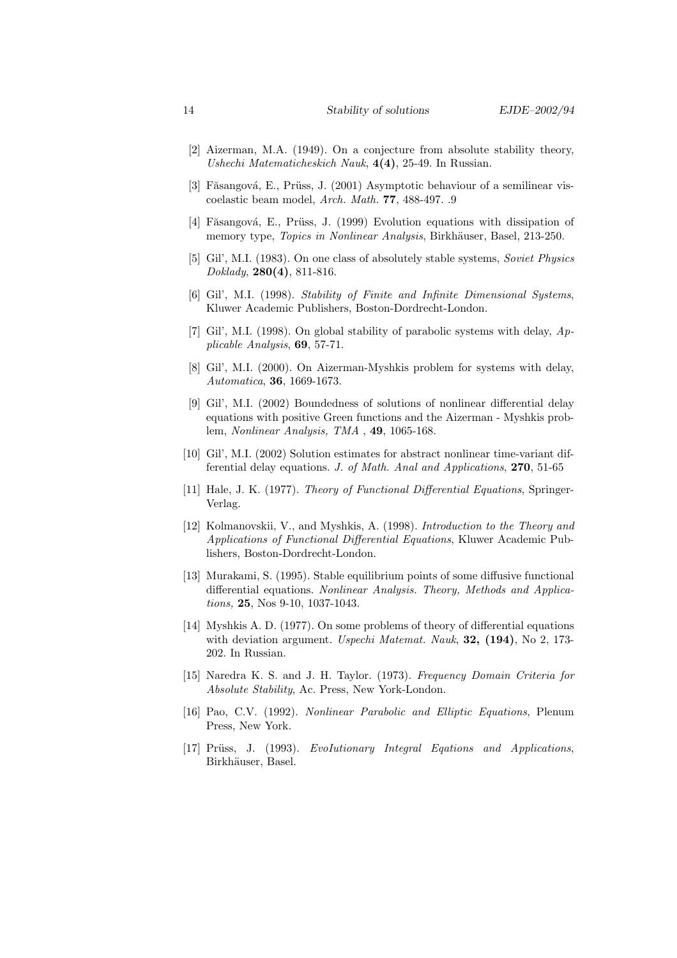- [2] Aizerman, M.A. (1949). On a conjecture from absolute stability theory, Ushechi Matematicheskich Nauk, 4(4), 25-49. In Russian.
- [3] Făsangová, E., Prüss, J. (2001) Asymptotic behaviour of a semilinear viscoelastic beam model, Arch. Math. 77, 488-497. .9
- [4] Făsangová, E., Prüss, J. (1999) Evolution equations with dissipation of memory type, Topics in Nonlinear Analysis, Birkhäuser, Basel, 213-250.
- [5] Gil', M.I. (1983). On one class of absolutely stable systems, Soviet Physics Doklady, 280(4), 811-816.
- [6] Gil', M.I. (1998). Stability of Finite and Infinite Dimensional Systems, Kluwer Academic Publishers, Boston-Dordrecht-London.
- [7] Gil', M.I. (1998). On global stability of parabolic systems with delay, Applicable Analysis, 69, 57-71.
- [8] Gil', M.I. (2000). On Aizerman-Myshkis problem for systems with delay, Automatica, 36, 1669-1673.
- [9] Gil', M.I. (2002) Boundedness of solutions of nonlinear differential delay equations with positive Green functions and the Aizerman - Myshkis problem, Nonlinear Analysis, TMA , 49, 1065-168.
- [10] Gil', M.I. (2002) Solution estimates for abstract nonlinear time-variant differential delay equations. J. of Math. Anal and Applications, 270, 51-65
- [11] Hale, J. K. (1977). Theory of Functional Differential Equations, Springer-Verlag.
- [12] Kolmanovskii, V., and Myshkis, A. (1998). Introduction to the Theory and Applications of Functional Differential Equations, Kluwer Academic Publishers, Boston-Dordrecht-London.
- [13] Murakami, S. (1995). Stable equilibrium points of some diffusive functional differential equations. Nonlinear Analysis. Theory, Methods and Applications, 25, Nos 9-10, 1037-1043.
- [14] Myshkis A. D. (1977). On some problems of theory of differential equations with deviation argument. Uspechi Matemat. Nauk, 32, (194), No 2, 173- 202. In Russian.
- [15] Naredra K. S. and J. H. Taylor. (1973). Frequency Domain Criteria for Absolute Stability, Ac. Press, New York-London.
- [16] Pao, C.V. (1992). Nonlinear Parabolic and Elliptic Equations, Plenum Press, New York.
- [17] Prüss, J. (1993). EvoIutionary Integral Eqations and Applications, Birkhäuser, Basel.